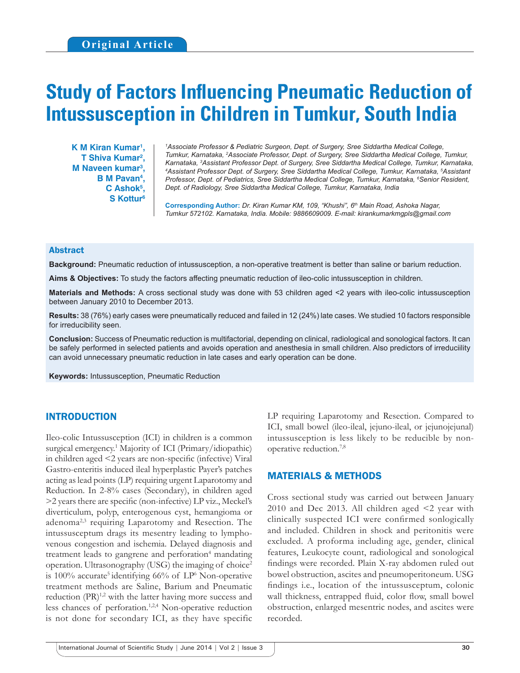# **Study of Factors Influencing Pneumatic Reduction of Intussusception in Children in Tumkur, South India**

**K M Kiran Kumar1 , T Shiva Kumar2 , M Naveen kumar3 , B M Pavan4 , C Ashok5 , S Kottur6**

*1 Associate Professor & Pediatric Surgeon, Dept. of Surgery, Sree Siddartha Medical College, Tumkur, Karnataka, 2 Associate Professor, Dept. of Surgery, Sree Siddartha Medical College, Tumkur, Karnataka, 3 Assistant Professor Dept. of Surgery, Sree Siddartha Medical College, Tumkur, Karnataka, 4 Assistant Professor Dept. of Surgery, Sree Siddartha Medical College, Tumkur, Karnataka, 5 Assistant Professor, Dept. of Pediatrics, Sree Siddartha Medical College, Tumkur, Karnataka, 6 Senior Resident, Dept. of Radiology, Sree Siddartha Medical College, Tumkur, Karnataka, India*

**Corresponding Author:** *Dr. Kiran Kumar KM, 109, "Khushi", 6th Main Road, Ashoka Nagar, Tumkur 572102. Karnataka, India. Mobile: 9886609009. E-mail: kirankumarkmgpls@gmail.com*

#### Abstract

**Background:** Pneumatic reduction of intussusception, a non-operative treatment is better than saline or barium reduction.

**Aims & Objectives:** To study the factors affecting pneumatic reduction of ileo-colic intussusception in children.

**Materials and Methods:** A cross sectional study was done with 53 children aged <2 years with ileo-colic intussusception between January 2010 to December 2013.

**Results:** 38 (76%) early cases were pneumatically reduced and failed in 12 (24%) late cases. We studied 10 factors responsible for irreducibility seen.

**Conclusion:** Success of Pneumatic reduction is multifactorial, depending on clinical, radiological and sonological factors. It can be safely performed in selected patients and avoids operation and anesthesia in small children. Also predictors of irreduciility can avoid unnecessary pneumatic reduction in late cases and early operation can be done.

**Keywords:** Intussusception, Pneumatic Reduction

## INTRODUCTION

Ileo-colic Intussusception (ICI) in children is a common surgical emergency.1 Majority of ICI (Primary/idiopathic) in children aged <2 years are non-specific (infective) Viral Gastro-enteritis induced ileal hyperplastic Payer's patches acting as lead points (LP) requiring urgent Laparotomy and Reduction. In 2-8% cases (Secondary), in children aged >2 years there are specific (non-infective) LP viz., Meckel's diverticulum, polyp, enterogenous cyst, hemangioma or adenoma<sup>2,3</sup> requiring Laparotomy and Resection. The intussusceptum drags its mesentry leading to lymphovenous congestion and ischemia. Delayed diagnosis and treatment leads to gangrene and perforation<sup>4</sup> mandating operation. Ultrasonography (USG) the imaging of choice<sup>2</sup> is  $100\%$  accurate<sup>5</sup> identifying  $66\%$  of LP<sup>6</sup> Non-operative treatment methods are Saline, Barium and Pneumatic reduction  $(PR)^{1,2}$  with the latter having more success and less chances of perforation.<sup>1,2,4</sup> Non-operative reduction is not done for secondary ICI, as they have specific LP requiring Laparotomy and Resection. Compared to ICI, small bowel (ileo-ileal, jejuno-ileal, or jejunojejunal) intussusception is less likely to be reducible by nonoperative reduction.7,8

## MATERIALS & METHODS

Cross sectional study was carried out between January 2010 and Dec 2013. All children aged  $\leq$  year with clinically suspected ICI were confirmed sonlogically and included. Children in shock and peritonitis were excluded. A proforma including age, gender, clinical features, Leukocyte count, radiological and sonological findings were recorded. Plain X-ray abdomen ruled out bowel obstruction, ascites and pneumoperitoneum. USG findings i.e., location of the intussusceptum, colonic wall thickness, entrapped fluid, color flow, small bowel obstruction, enlarged mesentric nodes, and ascites were recorded.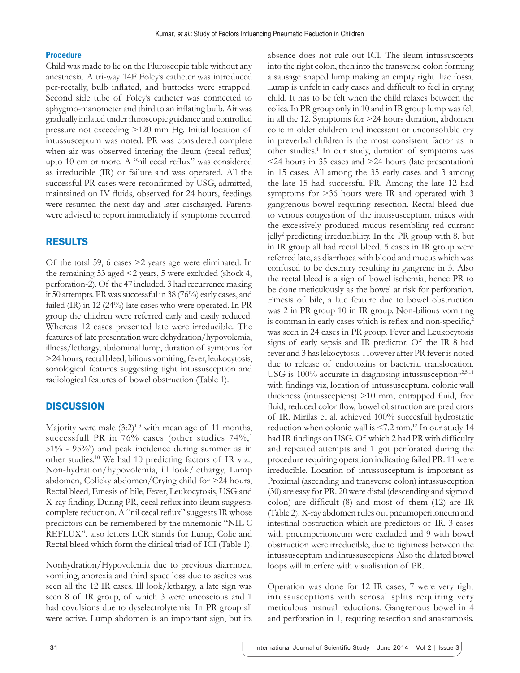### **Procedure**

Child was made to lie on the Fluroscopic table without any anesthesia. A tri-way 14F Foley's catheter was introduced per-rectally, bulb inflated, and buttocks were strapped. Second side tube of Foley's catheter was connected to sphygmo-manometer and third to an inflating bulb. Air was gradually inflated under fluroscopic guidance and controlled pressure not exceeding >120 mm Hg. Initial location of intussusceptum was noted. PR was considered complete when air was observed intering the ileum (cecal reflux) upto 10 cm or more. A "nil cecal reflux" was considered as irreducible (IR) or failure and was operated. All the successful PR cases were reconfirmed by USG, admitted, maintained on IV fluids, observed for 24 hours, feedings were resumed the next day and later discharged. Parents were advised to report immediately if symptoms recurred.

# RESULTS

Of the total 59, 6 cases >2 years age were eliminated. In the remaining 53 aged <2 years, 5 were excluded (shock 4, perforation-2). Of the 47 included, 3 had recurrence making it 50 attempts. PR was successful in 38 (76%) early cases, and failed (IR) in 12 (24%) late cases who were operated. In PR group the children were referred early and easily reduced. Whereas 12 cases presented late were irreducible. The features of late presentation were dehydration/hypovolemia, illness/lethargy, abdominal lump, duration of symtoms for >24 hours, rectal bleed, bilious vomiting, fever, leukocytosis, sonological features suggesting tight intussusception and radiological features of bowel obstruction (Table 1).

## **DISCUSSION**

Majority were male  $(3:2)^{1\text{-}3}$  with mean age of 11 months, successfull PR in 76% cases (other studies  $74\%,$ <sup>1</sup> 51% - 95%9 ) and peak incidence during summer as in other studies.10 We had 10 predicting factors of IR viz., Non-hydration/hypovolemia, ill look/lethargy, Lump abdomen, Colicky abdomen/Crying child for >24 hours, Rectal bleed, Emesis of bile, Fever, Leukocytosis, USG and X-ray finding. During PR, cecal reflux into ileum suggests complete reduction. A "nil cecal reflux" suggests IR whose predictors can be remembered by the mnemonic "NIL C REFLUX", also letters LCR stands for Lump, Colic and Rectal bleed which form the clinical triad of ICI (Table 1).

Nonhydration/Hypovolemia due to previous diarrhoea, vomiting, anorexia and third space loss due to ascites was seen all the 12 IR cases. Ill look/lethargy, a late sign was seen 8 of IR group, of which 3 were uncoscious and 1 had covulsions due to dyselectrolytemia. In PR group all were active. Lump abdomen is an important sign, but its absence does not rule out ICI. The ileum intussuscepts into the right colon, then into the transverse colon forming a sausage shaped lump making an empty right iliac fossa. Lump is unfelt in early cases and difficult to feel in crying child. It has to be felt when the child relaxes between the colics. In PR group only in 10 and in IR group lump was felt in all the 12. Symptoms for >24 hours duration, abdomen colic in older children and incessant or unconsolable cry in preverbal children is the most consistent factor as in other studies.<sup>1</sup> In our study, duration of symptoms was <24 hours in 35 cases and >24 hours (late presentation) in 15 cases. All among the 35 early cases and 3 among the late 15 had successful PR. Among the late 12 had symptoms for >36 hours were IR and operated with 3 gangrenous bowel requiring resection. Rectal bleed due to venous congestion of the intussusceptum, mixes with the excessively produced mucus resembling red currant jelly2 predicting irreducibility. In the PR group with 8, but in IR group all had rectal bleed. 5 cases in IR group were referred late, as diarrhoea with blood and mucus which was confused to be desentry resulting in gangrene in 3. Also the rectal bleed is a sign of bowel ischemia, hence PR to be done meticulously as the bowel at risk for perforation. Emesis of bile, a late feature due to bowel obstruction was 2 in PR group 10 in IR group. Non-bilious vomiting is comman in early cases which is reflex and non-specific,<sup>2</sup> was seen in 24 cases in PR group. Fever and Leukocytosis signs of early sepsis and IR predictor. Of the IR 8 had fever and 3 has lekocytosis. However after PR fever is noted due to release of endotoxins or bacterial translocation. USG is  $100\%$  accurate in diagnosing intussusception<sup>1,2,5,11</sup> with findings viz, location of intussusceptum, colonic wall thickness (intusscepiens) >10 mm, entrapped fluid, free fluid, reduced color flow, bowel obstruction are predictors of IR. Mirilas et al. achieved 100% succesfull hydrostatic reduction when colonic wall is  $\leq 7.2$  mm.<sup>12</sup> In our study 14 had IR findings on USG. Of which 2 had PR with difficulty and repeated attempts and 1 got perforated during the procedure requiring operation indicating failed PR. 11 were irreducible. Location of intussusceptum is important as Proximal (ascending and transverse colon) intussusception (30) are easy for PR. 20 were distal (descending and sigmoid colon) are difficult (8) and most of them (12) are IR (Table 2). X-ray abdomen rules out pneumoperitoneum and intestinal obstruction which are predictors of IR. 3 cases with pneumperitoneum were excluded and 9 with bowel obstruction were irreducible, due to tightness between the intussusceptum and intussuscepiens. Also the dilated bowel loops will interfere with visualisation of PR.

Operation was done for 12 IR cases, 7 were very tight intussusceptions with serosal splits requiring very meticulous manual reductions. Gangrenous bowel in 4 and perforation in 1, requring resection and anastamosis.